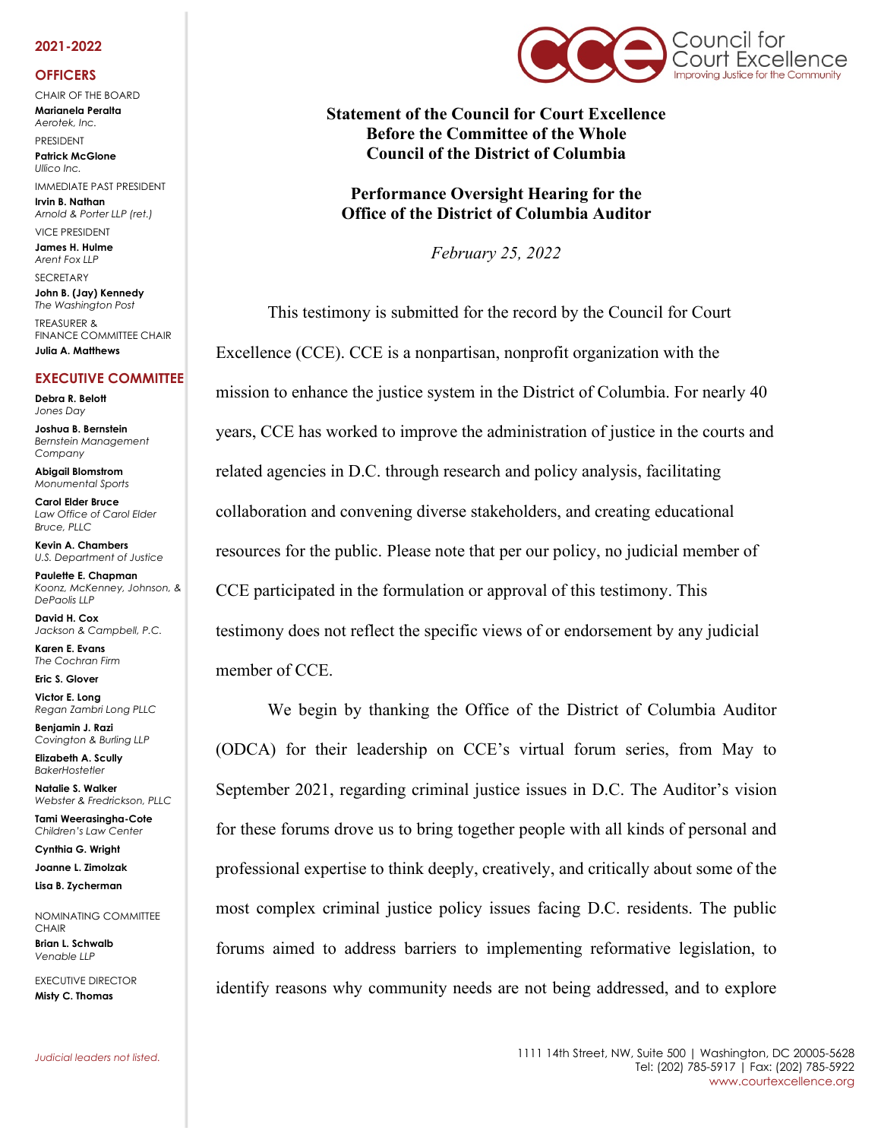#### **2021-2022**

#### **OFFICERS**

CHAIR OF THE BOARD **Marianela Peralta** *Aerotek, Inc.*

PRESIDENT **Patrick McGlone** *Ullico Inc.* 

IMMEDIATE PAST PRESIDENT **Irvin B. Nathan** *Arnold & Porter LLP (ret.)* 

VICE PRESIDENT **James H. Hulme** *Arent Fox LLP*

**SECRETARY John B. (Jay) Kennedy** *The Washington Post* TREASURER & FINANCE COMMITTEE CHAIR

**Julia A. Matthews**

#### **EXECUTIVE COMMITTEE**

**Debra R. Belott** *Jones Day*

**Joshua B. Bernstein** *Bernstein Management Company*

**Abigail Blomstrom** *Monumental Sports*

**Carol Elder Bruce** *Law Office of Carol Elder Bruce, PLLC*

**Kevin A. Chambers** *U.S. Department of Justice*

**Paulette E. Chapman** *Koonz, McKenney, Johnson, & DePaolis LLP*

**David H. Cox** *Jackson & Campbell, P.C.*

**Karen E. Evans** *The Cochran Firm*

**Eric S. Glover Victor E. Long**

*Regan Zambri Long PLLC*

**Benjamin J. Razi** *Covington & Burling LLP*

**Elizabeth A. Scully** *BakerHostetler*

**Natalie S. Walker** *Webster & Fredrickson, PLLC*

**Tami Weerasingha-Cote** *Children's Law Center*

**Cynthia G. Wright Joanne L. Zimolzak**

**Lisa B. Zycherman**

NOMINATING COMMITTEE **CHAIR Brian L. Schwalb**

EXECUTIVE DIRECTOR **Misty C. Thomas** 

*Venable LLP*



**Statement of the Council for Court Excellence Before the Committee of the Whole Council of the District of Columbia**

**Performance Oversight Hearing for the Office of the District of Columbia Auditor**

*February 25, 2022*

This testimony is submitted for the record by the Council for Court Excellence (CCE). CCE is a nonpartisan, nonprofit organization with the mission to enhance the justice system in the District of Columbia. For nearly 40 years, CCE has worked to improve the administration of justice in the courts and related agencies in D.C. through research and policy analysis, facilitating collaboration and convening diverse stakeholders, and creating educational resources for the public. Please note that per our policy, no judicial member of CCE participated in the formulation or approval of this testimony. This testimony does not reflect the specific views of or endorsement by any judicial member of CCE.

We begin by thanking the Office of the District of Columbia Auditor (ODCA) for their leadership on CCE's virtual forum series, from May to September 2021, regarding criminal justice issues in D.C. The Auditor's vision for these forums drove us to bring together people with all kinds of personal and professional expertise to think deeply, creatively, and critically about some of the most complex criminal justice policy issues facing D.C. residents. The public forums aimed to address barriers to implementing reformative legislation, to identify reasons why community needs are not being addressed, and to explore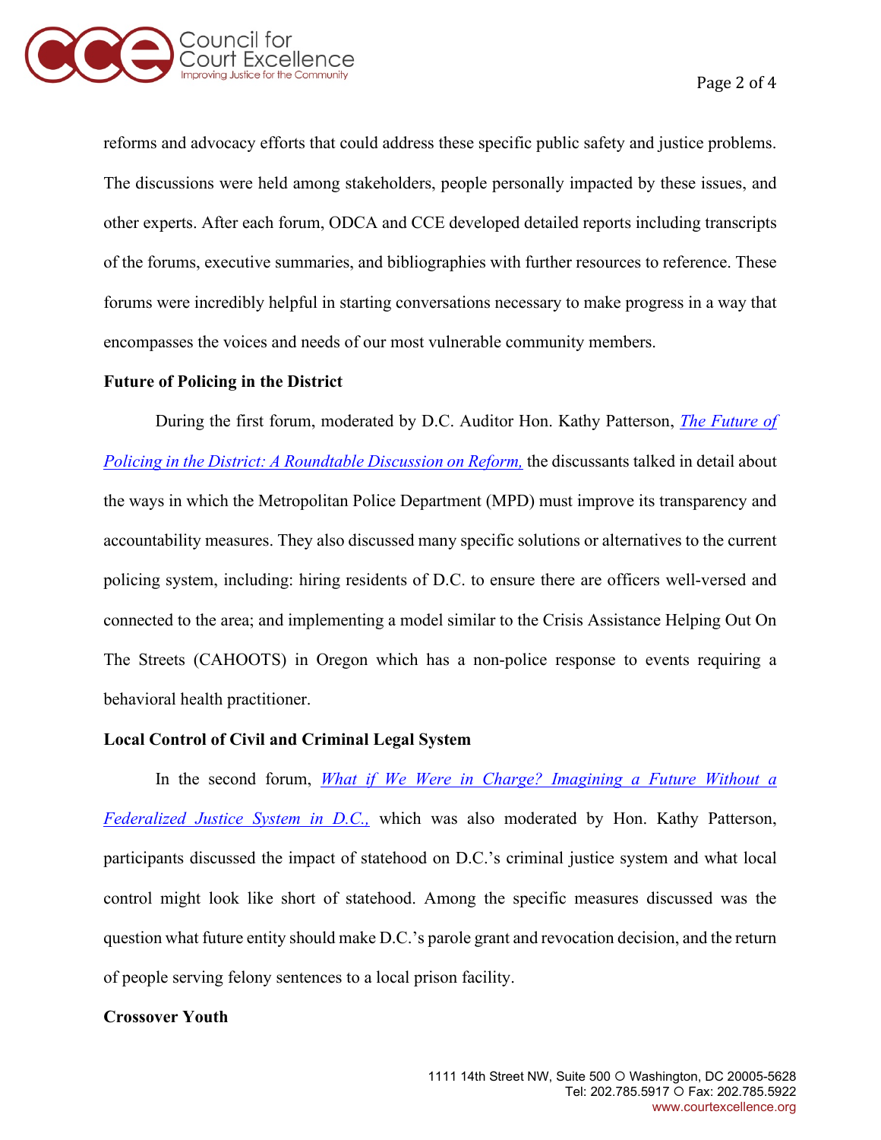

reforms and advocacy efforts that could address these specific public safety and justice problems. The discussions were held among stakeholders, people personally impacted by these issues, and other experts. After each forum, ODCA and CCE developed detailed reports including transcripts of the forums, executive summaries, and bibliographies with further resources to reference. These forums were incredibly helpful in starting conversations necessary to make progress in a way that encompasses the voices and needs of our most vulnerable community members.

#### **Future of Policing in the District**

During the first forum, moderated by D.C. Auditor Hon. Kathy Patterson, *[The Future of](http://www.courtexcellence.org/uploads/publications/Report_from_the_May_2021_Future_of_Policing_in_the_District_Forum.pdf)  [Policing in the District: A Roundtable Discussion on Reform,](http://www.courtexcellence.org/uploads/publications/Report_from_the_May_2021_Future_of_Policing_in_the_District_Forum.pdf)* the discussants talked in detail about the ways in which the Metropolitan Police Department (MPD) must improve its transparency and accountability measures. They also discussed many specific solutions or alternatives to the current policing system, including: hiring residents of D.C. to ensure there are officers well-versed and connected to the area; and implementing a model similar to the Crisis Assistance Helping Out On The Streets (CAHOOTS) in Oregon which has a non-police response to events requiring a behavioral health practitioner.

## **Local Control of Civil and Criminal Legal System**

In the second forum, *[What if We Were in Charge? Imagining a Future Without a](http://www.courtexcellence.org/uploads/publications/What_if_We_Were_in_Charge_Imagining_a_Future_Without_a_Federalized_Justice_System_in_DC.pdf)  [Federalized Justice System in D.C.,](http://www.courtexcellence.org/uploads/publications/What_if_We_Were_in_Charge_Imagining_a_Future_Without_a_Federalized_Justice_System_in_DC.pdf)* which was also moderated by Hon. Kathy Patterson, participants discussed the impact of statehood on D.C.'s criminal justice system and what local control might look like short of statehood. Among the specific measures discussed was the question what future entity should make D.C.'s parole grant and revocation decision, and the return of people serving felony sentences to a local prison facility.

## **Crossover Youth**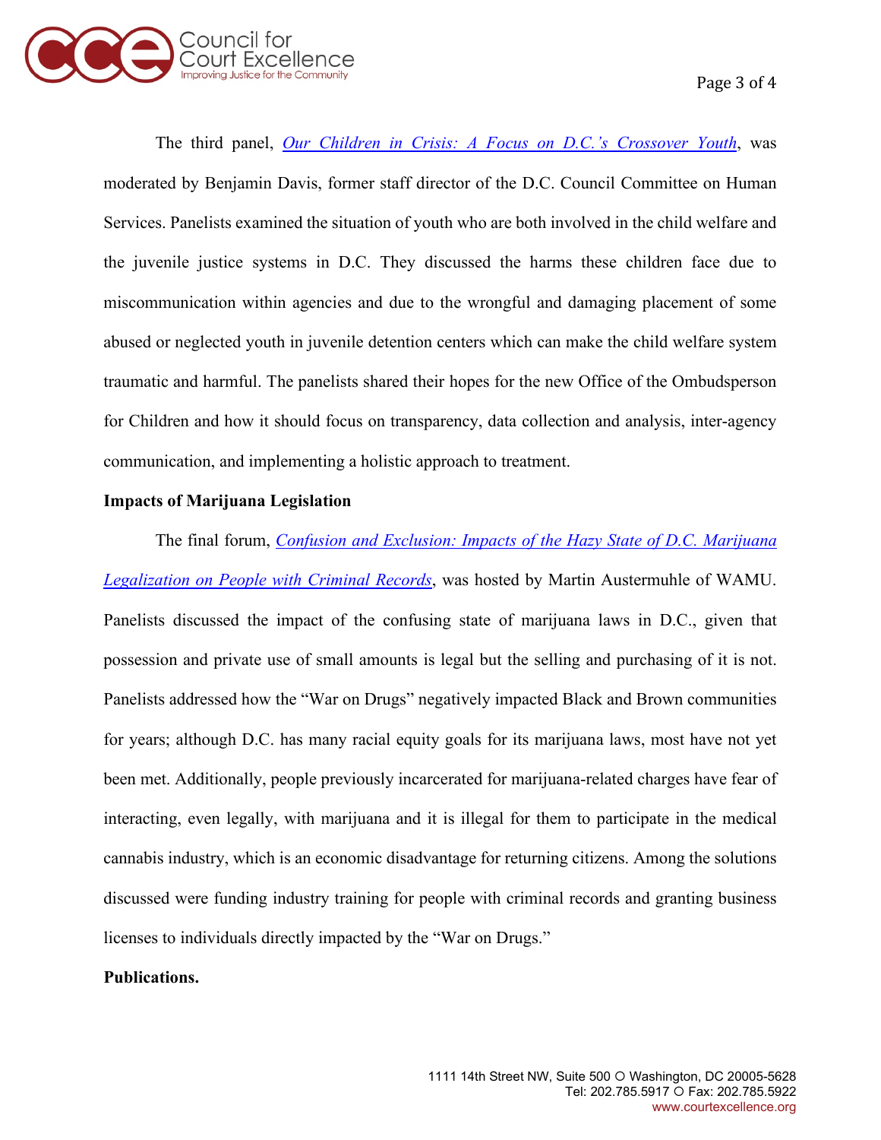

The third panel, *[Our Children in Crisis: A Focus on D.C.'s Crossover Youth](http://www.courtexcellence.org/uploads/publications/Our_Children_in_Crisis_CCE_ODCA_Report.pdf)*, was moderated by Benjamin Davis, former staff director of the D.C. Council Committee on Human Services. Panelists examined the situation of youth who are both involved in the child welfare and the juvenile justice systems in D.C. They discussed the harms these children face due to miscommunication within agencies and due to the wrongful and damaging placement of some abused or neglected youth in juvenile detention centers which can make the child welfare system traumatic and harmful. The panelists shared their hopes for the new Office of the Ombudsperson for Children and how it should focus on transparency, data collection and analysis, inter-agency communication, and implementing a holistic approach to treatment.

#### **Impacts of Marijuana Legislation**

The final forum, *[Confusion and Exclusion: Impacts of the Hazy State of D.C. Marijuana](http://www.courtexcellence.org/uploads/publications/Confusion_and_Exclusion_DC_Marijuana_Legalization_CCE_ODCA_Report.pdf)  [Legalization on People with Criminal Records](http://www.courtexcellence.org/uploads/publications/Confusion_and_Exclusion_DC_Marijuana_Legalization_CCE_ODCA_Report.pdf)*, was hosted by Martin Austermuhle of WAMU. Panelists discussed the impact of the confusing state of marijuana laws in D.C., given that possession and private use of small amounts is legal but the selling and purchasing of it is not. Panelists addressed how the "War on Drugs" negatively impacted Black and Brown communities for years; although D.C. has many racial equity goals for its marijuana laws, most have not yet been met. Additionally, people previously incarcerated for marijuana-related charges have fear of interacting, even legally, with marijuana and it is illegal for them to participate in the medical cannabis industry, which is an economic disadvantage for returning citizens. Among the solutions discussed were funding industry training for people with criminal records and granting business licenses to individuals directly impacted by the "War on Drugs."

# **Publications.**